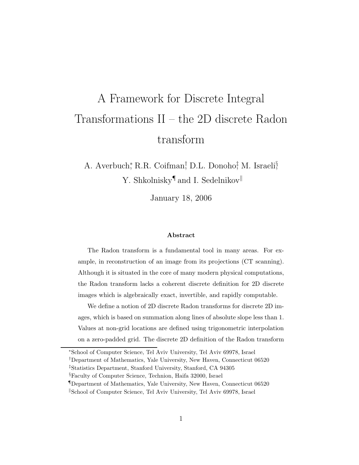# A Framework for Discrete Integral Transformations II – the 2D discrete Radon transform

A. Averbuch,\* R.R. Coifman,† D.L. Donoho,† M. Israeli§ Y. Shkolnisky<sup>¶</sup> and I. Sedelnikov<sup>||</sup>

January 18, 2006

#### Abstract

The Radon transform is a fundamental tool in many areas. For example, in reconstruction of an image from its projections (CT scanning). Although it is situated in the core of many modern physical computations, the Radon transform lacks a coherent discrete definition for 2D discrete images which is algebraically exact, invertible, and rapidly computable.

We define a notion of 2D discrete Radon transforms for discrete 2D images, which is based on summation along lines of absolute slope less than 1. Values at non-grid locations are defined using trigonometric interpolation on a zero-padded grid. The discrete 2D definition of the Radon transform

§Faculty of Computer Science, Technion, Haifa 32000, Israel

<sup>∗</sup>School of Computer Science, Tel Aviv University, Tel Aviv 69978, Israel

<sup>†</sup>Department of Mathematics, Yale University, New Haven, Connecticut 06520

<sup>‡</sup>Statistics Department, Stanford University, Stanford, CA 94305

<sup>¶</sup>Department of Mathematics, Yale University, New Haven, Connecticut 06520 <sup>||</sup>School of Computer Science, Tel Aviv University, Tel Aviv 69978, Israel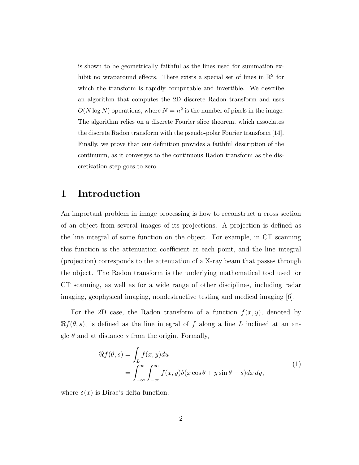is shown to be geometrically faithful as the lines used for summation exhibit no wraparound effects. There exists a special set of lines in  $\mathbb{R}^2$  for which the transform is rapidly computable and invertible. We describe an algorithm that computes the 2D discrete Radon transform and uses  $O(N \log N)$  operations, where  $N = n^2$  is the number of pixels in the image. The algorithm relies on a discrete Fourier slice theorem, which associates the discrete Radon transform with the pseudo-polar Fourier transform [14]. Finally, we prove that our definition provides a faithful description of the continuum, as it converges to the continuous Radon transform as the discretization step goes to zero.

## 1 Introduction

An important problem in image processing is how to reconstruct a cross section of an object from several images of its projections. A projection is defined as the line integral of some function on the object. For example, in CT scanning this function is the attenuation coefficient at each point, and the line integral (projection) corresponds to the attenuation of a X-ray beam that passes through the object. The Radon transform is the underlying mathematical tool used for CT scanning, as well as for a wide range of other disciplines, including radar imaging, geophysical imaging, nondestructive testing and medical imaging [6].

For the 2D case, the Radon transform of a function  $f(x, y)$ , denoted by  $\Re f(\theta, s)$ , is defined as the line integral of f along a line L inclined at an angle  $\theta$  and at distance s from the origin. Formally,

$$
\Re f(\theta, s) = \int_{L} f(x, y) du
$$
  
= 
$$
\int_{-\infty}^{\infty} \int_{-\infty}^{\infty} f(x, y) \delta(x \cos \theta + y \sin \theta - s) dx dy,
$$
 (1)

where  $\delta(x)$  is Dirac's delta function.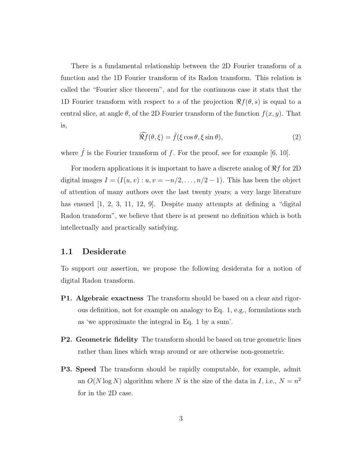There is a fundamental relationship between the 2D Fourier transform of a function and the 1D Fourier transform of its Radon transform. This relation is called the "Fourier slice theorem", and for the continuous case it stats that the 1D Fourier transform with respect to s of the projection  $\Re f(\theta, s)$  is equal to a central slice, at angle  $\theta$ , of the 2D Fourier transform of the function  $f(x, y)$ . That is,

$$
\widehat{\mathcal{R}f}(\theta,\xi) = \widehat{f}(\xi\cos\theta,\xi\sin\theta),\tag{2}
$$

where  $\hat{f}$  is the Fourier transform of f. For the proof, see for example [6, 10].

For modern applications it is important to have a discrete analog of  $\Re f$  for 2D digital images  $I = (I(u, v) : u, v = -n/2, \ldots, n/2 - 1)$ . This has been the object of attention of many authors over the last twenty years; a very large literature has ensued [1, 2, 3, 11, 12, 9]. Despite many attempts at defining a "digital" Radon transform", we believe that there is at present no definition which is both intellectually and practically satisfying.

### 1.1 Desiderate

To support our assertion, we propose the following desiderata for a notion of digital Radon transform.

- P1. Algebraic exactness The transform should be based on a clear and rigorous definition, not for example on analogy to Eq. 1, e.g., formulations such as 'we approximate the integral in Eq. 1 by a sum'.
- P2. Geometric fidelity The transform should be based on true geometric lines rather than lines which wrap around or are otherwise non-geometric.
- **P3.** Speed The transform should be rapidly computable, for example, admit an  $O(N \log N)$  algorithm where N is the size of the data in I, i.e.,  $N = n^2$ for in the 2D case.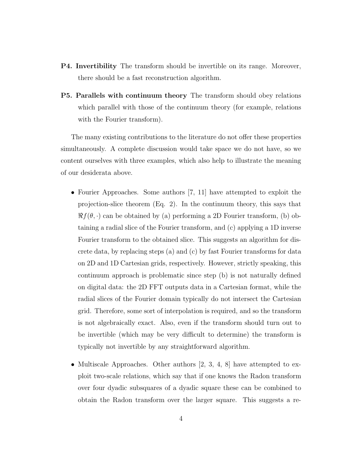- P4. Invertibility The transform should be invertible on its range. Moreover, there should be a fast reconstruction algorithm.
- P5. Parallels with continuum theory The transform should obey relations which parallel with those of the continuum theory (for example, relations with the Fourier transform).

The many existing contributions to the literature do not offer these properties simultaneously. A complete discussion would take space we do not have, so we content ourselves with three examples, which also help to illustrate the meaning of our desiderata above.

- Fourier Approaches. Some authors [7, 11] have attempted to exploit the projection-slice theorem (Eq. 2). In the continuum theory, this says that  $\Re f(\theta, \cdot)$  can be obtained by (a) performing a 2D Fourier transform, (b) obtaining a radial slice of the Fourier transform, and (c) applying a 1D inverse Fourier transform to the obtained slice. This suggests an algorithm for discrete data, by replacing steps (a) and (c) by fast Fourier transforms for data on 2D and 1D Cartesian grids, respectively. However, strictly speaking, this continuum approach is problematic since step (b) is not naturally defined on digital data: the 2D FFT outputs data in a Cartesian format, while the radial slices of the Fourier domain typically do not intersect the Cartesian grid. Therefore, some sort of interpolation is required, and so the transform is not algebraically exact. Also, even if the transform should turn out to be invertible (which may be very difficult to determine) the transform is typically not invertible by any straightforward algorithm.
- Multiscale Approaches. Other authors  $[2, 3, 4, 8]$  have attempted to exploit two-scale relations, which say that if one knows the Radon transform over four dyadic subsquares of a dyadic square these can be combined to obtain the Radon transform over the larger square. This suggests a re-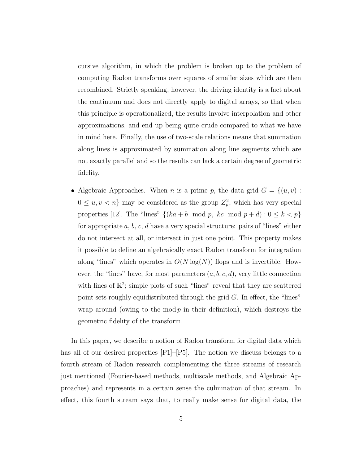cursive algorithm, in which the problem is broken up to the problem of computing Radon transforms over squares of smaller sizes which are then recombined. Strictly speaking, however, the driving identity is a fact about the continuum and does not directly apply to digital arrays, so that when this principle is operationalized, the results involve interpolation and other approximations, and end up being quite crude compared to what we have in mind here. Finally, the use of two-scale relations means that summation along lines is approximated by summation along line segments which are not exactly parallel and so the results can lack a certain degree of geometric fidelity.

• Algebraic Approaches. When *n* is a prime *p*, the data grid  $G = \{(u, v) :$  $0 \leq u, v < n$  may be considered as the group  $Z_p^2$ , which has very special properties [12]. The "lines"  $\{(ka + b \mod p, kc \mod p + d) : 0 \le k < p\}$ for appropriate a, b, c, d have a very special structure: pairs of "lines" either do not intersect at all, or intersect in just one point. This property makes it possible to define an algebraically exact Radon transform for integration along "lines" which operates in  $O(N \log(N))$  flops and is invertible. However, the "lines" have, for most parameters  $(a, b, c, d)$ , very little connection with lines of  $\mathbb{R}^2$ ; simple plots of such "lines" reveal that they are scattered point sets roughly equidistributed through the grid G. In effect, the "lines" wrap around (owing to the mod  $p$  in their definition), which destroys the geometric fidelity of the transform.

In this paper, we describe a notion of Radon transform for digital data which has all of our desired properties  $[P1]-[P5]$ . The notion we discuss belongs to a fourth stream of Radon research complementing the three streams of research just mentioned (Fourier-based methods, multiscale methods, and Algebraic Approaches) and represents in a certain sense the culmination of that stream. In effect, this fourth stream says that, to really make sense for digital data, the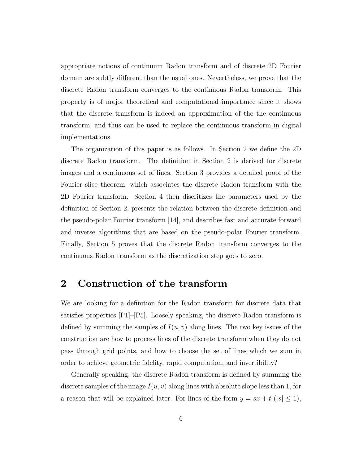appropriate notions of continuum Radon transform and of discrete 2D Fourier domain are subtly different than the usual ones. Nevertheless, we prove that the discrete Radon transform converges to the continuous Radon transform. This property is of major theoretical and computational importance since it shows that the discrete transform is indeed an approximation of the the continuous transform, and thus can be used to replace the continuous transform in digital implementations.

The organization of this paper is as follows. In Section 2 we define the 2D discrete Radon transform. The definition in Section 2 is derived for discrete images and a continuous set of lines. Section 3 provides a detailed proof of the Fourier slice theorem, which associates the discrete Radon transform with the 2D Fourier transform. Section 4 then discritizes the parameters used by the definition of Section 2, presents the relation between the discrete definition and the pseudo-polar Fourier transform [14], and describes fast and accurate forward and inverse algorithms that are based on the pseudo-polar Fourier transform. Finally, Section 5 proves that the discrete Radon transform converges to the continuous Radon transform as the discretization step goes to zero.

# 2 Construction of the transform

We are looking for a definition for the Radon transform for discrete data that satisfies properties [P1]–[P5]. Loosely speaking, the discrete Radon transform is defined by summing the samples of  $I(u, v)$  along lines. The two key issues of the construction are how to process lines of the discrete transform when they do not pass through grid points, and how to choose the set of lines which we sum in order to achieve geometric fidelity, rapid computation, and invertibility?

Generally speaking, the discrete Radon transform is defined by summing the discrete samples of the image  $I(u, v)$  along lines with absolute slope less than 1, for a reason that will be explained later. For lines of the form  $y = sx + t$  ( $|s| \leq 1$ ),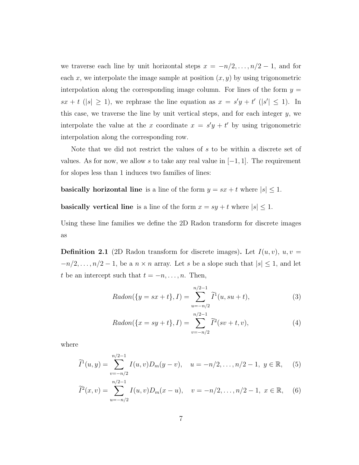we traverse each line by unit horizontal steps  $x = -n/2, \ldots, n/2 - 1$ , and for each x, we interpolate the image sample at position  $(x, y)$  by using trigonometric interpolation along the corresponding image column. For lines of the form  $y =$  $sx + t$  (|s|  $\geq$  1), we rephrase the line equation as  $x = s'y + t'$  (|s'|  $\leq$  1). In this case, we traverse the line by unit vertical steps, and for each integer  $y$ , we interpolate the value at the x coordinate  $x = s'y + t'$  by using trigonometric interpolation along the corresponding row.

Note that we did not restrict the values of s to be within a discrete set of values. As for now, we allow s to take any real value in  $[-1, 1]$ . The requirement for slopes less than 1 induces two families of lines:

**basically horizontal line** is a line of the form  $y = sx + t$  where  $|s| \leq 1$ .

**basically vertical line** is a line of the form  $x = sy + t$  where  $|s| \leq 1$ .

Using these line families we define the 2D Radon transform for discrete images as

**Definition 2.1** (2D Radon transform for discrete images). Let  $I(u, v)$ ,  $u, v =$  $-n/2, \ldots, n/2-1$ , be a  $n \times n$  array. Let s be a slope such that  $|s| \leq 1$ , and let t be an intercept such that  $t = -n, \ldots, n$ . Then,

$$
Radon(\{y = sx + t\}, I) = \sum_{u = -n/2}^{n/2 - 1} \widetilde{I}^1(u, su + t),
$$
\n(3)

$$
Radon(\{x = sy + t\}, I) = \sum_{v = -n/2}^{n/2 - 1} \tilde{I}^{2}(sv + t, v),
$$
\n(4)

where

$$
\widetilde{I}^1(u,y) = \sum_{v=-n/2}^{n/2-1} I(u,v)D_m(y-v), \quad u = -n/2, \dots, n/2-1, \ y \in \mathbb{R}, \tag{5}
$$

$$
\widetilde{I}^2(x,v) = \sum_{u=-n/2}^{n/2-1} I(u,v)D_m(x-u), \quad v = -n/2, \dots, n/2-1, \ x \in \mathbb{R}, \quad (6)
$$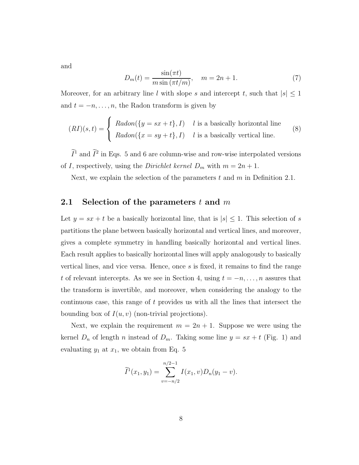and

$$
D_m(t) = \frac{\sin(\pi t)}{m \sin(\pi t/m)}, \quad m = 2n + 1.
$$
 (7)

Moreover, for an arbitrary line l with slope s and intercept t, such that  $|s| \leq 1$ and  $t = -n, \ldots, n$ , the Radon transform is given by

$$
(RI)(s,t) = \begin{cases} Radon(\{y = sx + t\}, I) & l \text{ is a basically horizontal line} \\ Radon(\{x = sy + t\}, I) & l \text{ is a basically vertical line.} \end{cases}
$$
(8)

 $I^1$  and  $I^2$  in Eqs. 5 and 6 are column-wise and row-wise interpolated versions of I, respectively, using the *Dirichlet kernel*  $D_m$  with  $m = 2n + 1$ .

Next, we explain the selection of the parameters t and m in Definition 2.1.

### 2.1 Selection of the parameters  $t$  and  $m$

Let  $y = sx + t$  be a basically horizontal line, that is  $|s| \leq 1$ . This selection of s partitions the plane between basically horizontal and vertical lines, and moreover, gives a complete symmetry in handling basically horizontal and vertical lines. Each result applies to basically horizontal lines will apply analogously to basically vertical lines, and vice versa. Hence, once s is fixed, it remains to find the range t of relevant intercepts. As we see in Section 4, using  $t = -n, \ldots, n$  assures that the transform is invertible, and moreover, when considering the analogy to the continuous case, this range of t provides us with all the lines that intersect the bounding box of  $I(u, v)$  (non-trivial projections).

Next, we explain the requirement  $m = 2n + 1$ . Suppose we were using the kernel  $D_n$  of length n instead of  $D_m$ . Taking some line  $y = sx + t$  (Fig. 1) and evaluating  $y_1$  at  $x_1$ , we obtain from Eq. 5

$$
\widetilde{I}^{1}(x_{1}, y_{1}) = \sum_{v=-n/2}^{n/2-1} I(x_{1}, v)D_{n}(y_{1} - v).
$$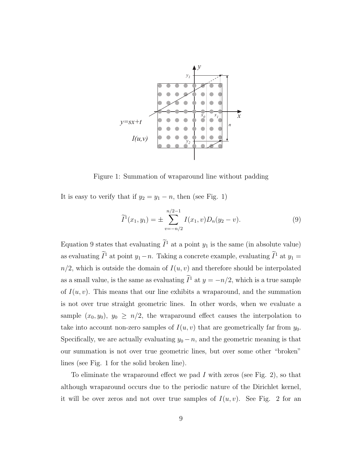

Figure 1: Summation of wraparound line without padding

It is easy to verify that if  $y_2 = y_1 - n$ , then (see Fig. 1)

$$
\widetilde{I}^{1}(x_{1}, y_{1}) = \pm \sum_{v=-n/2}^{n/2-1} I(x_{1}, v) D_{n}(y_{2} - v).
$$
\n(9)

Equation 9 states that evaluating  $\widetilde{I}^1$  at a point  $y_1$  is the same (in absolute value) as evaluating  $\tilde{I}^1$  at point  $y_1 - n$ . Taking a concrete example, evaluating  $\tilde{I}^1$  at  $y_1 =$  $n/2$ , which is outside the domain of  $I(u, v)$  and therefore should be interpolated as a small value, is the same as evaluating  $I^1$  at  $y = -n/2$ , which is a true sample of  $I(u, v)$ . This means that our line exhibits a wraparound, and the summation is not over true straight geometric lines. In other words, when we evaluate a sample  $(x_0, y_0)$ ,  $y_0 \geq n/2$ , the wraparound effect causes the interpolation to take into account non-zero samples of  $I(u, v)$  that are geometrically far from  $y_0$ . Specifically, we are actually evaluating  $y_0 - n$ , and the geometric meaning is that our summation is not over true geometric lines, but over some other "broken" lines (see Fig. 1 for the solid broken line).

To eliminate the wraparound effect we pad I with zeros (see Fig. 2), so that although wraparound occurs due to the periodic nature of the Dirichlet kernel, it will be over zeros and not over true samples of  $I(u, v)$ . See Fig. 2 for an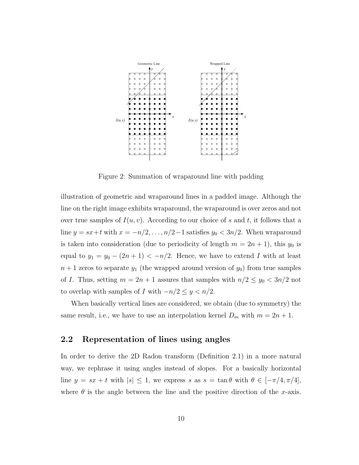

Figure 2: Summation of wraparound line with padding

illustration of geometric and wraparound lines in a padded image. Although the line on the right image exhibits wraparound, the wraparound is over zeros and not over true samples of  $I(u, v)$ . According to our choice of s and t, it follows that a line  $y = sx+t$  with  $x = -n/2, ..., n/2-1$  satisfies  $y_0 < 3n/2$ . When wraparound is taken into consideration (due to periodicity of length  $m = 2n + 1$ ), this  $y_0$  is equal to  $y_1 = y_0 - (2n + 1) < -n/2$ . Hence, we have to extend I with at least  $n + 1$  zeros to separate  $y_1$  (the wrapped around version of  $y_0$ ) from true samples of I. Thus, setting  $m = 2n + 1$  assures that samples with  $n/2 \le y_0 < 3n/2$  not to overlap with samples of I with  $-n/2 \leq y < n/2$ .

When basically vertical lines are considered, we obtain (due to symmetry) the same result, i.e., we have to use an interpolation kernel  $D_m$  with  $m = 2n + 1$ .

### 2.2 Representation of lines using angles

In order to derive the 2D Radon transform (Definition 2.1) in a more natural way, we rephrase it using angles instead of slopes. For a basically horizontal line  $y = sx + t$  with  $|s| \leq 1$ , we express s as  $s = \tan \theta$  with  $\theta \in [-\pi/4, \pi/4]$ , where  $\theta$  is the angle between the line and the positive direction of the x-axis.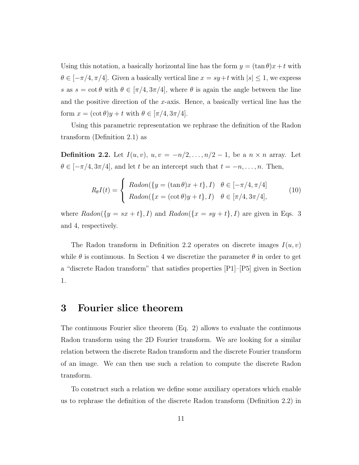Using this notation, a basically horizontal line has the form  $y = (\tan \theta)x + t$  with  $\theta \in [-\pi/4, \pi/4]$ . Given a basically vertical line  $x = sy + t$  with  $|s| \leq 1$ , we express s as  $s = \cot \theta$  with  $\theta \in [\pi/4, 3\pi/4]$ , where  $\theta$  is again the angle between the line and the positive direction of the x-axis. Hence, a basically vertical line has the form  $x = (\cot \theta)y + t$  with  $\theta \in [\pi/4, 3\pi/4]$ .

Using this parametric representation we rephrase the definition of the Radon transform (Definition 2.1) as

**Definition 2.2.** Let  $I(u, v)$ ,  $u, v = -n/2, \ldots, n/2 - 1$ , be a  $n \times n$  array. Let  $\theta \in [-\pi/4, 3\pi/4]$ , and let t be an intercept such that  $t = -n, \ldots, n$ . Then,

$$
R_{\theta}I(t) = \begin{cases} Radon(\lbrace y = (\tan \theta)x + t \rbrace, I) & \theta \in [-\pi/4, \pi/4] \\ Radon(\lbrace x = (\cot \theta)y + t \rbrace, I) & \theta \in [\pi/4, 3\pi/4], \end{cases}
$$
(10)

where  $Radon({y = sx + t}, I)$  and  $Radon({x = sy + t}, I)$  are given in Eqs. 3 and 4, respectively.

The Radon transform in Definition 2.2 operates on discrete images  $I(u, v)$ while  $\theta$  is continuous. In Section 4 we discretize the parameter  $\theta$  in order to get a "discrete Radon transform" that satisfies properties [P1]–[P5] given in Section 1.

## 3 Fourier slice theorem

The continuous Fourier slice theorem (Eq. 2) allows to evaluate the continuous Radon transform using the 2D Fourier transform. We are looking for a similar relation between the discrete Radon transform and the discrete Fourier transform of an image. We can then use such a relation to compute the discrete Radon transform.

To construct such a relation we define some auxiliary operators which enable us to rephrase the definition of the discrete Radon transform (Definition 2.2) in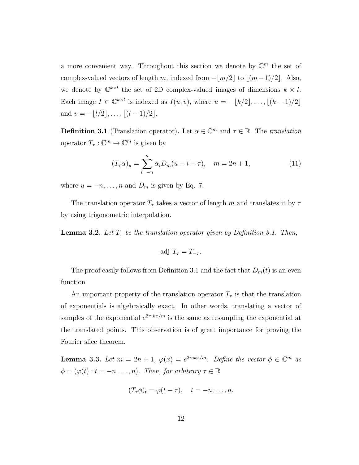a more convenient way. Throughout this section we denote by  $\mathbb{C}^m$  the set of complex-valued vectors of length m, indexed from  $-|m/2|$  to  $|(m-1)/2|$ . Also, we denote by  $\mathbb{C}^{k \times l}$  the set of 2D complex-valued images of dimensions  $k \times l$ . Each image  $I \in \mathbb{C}^{k \times l}$  is indexed as  $I(u, v)$ , where  $u = -\lfloor k/2 \rfloor, \ldots, \lfloor (k-1)/2 \rfloor$ and  $v = -\lfloor l/2 \rfloor, \ldots, \lfloor (l-1)/2 \rfloor$ .

**Definition 3.1** (Translation operator). Let  $\alpha \in \mathbb{C}^m$  and  $\tau \in \mathbb{R}$ . The *translation* operator  $T_{\tau}: \mathbb{C}^m \to \mathbb{C}^m$  is given by

$$
(T_{\tau}\alpha)_u = \sum_{i=-n}^n \alpha_i D_m(u - i - \tau), \quad m = 2n + 1,
$$
 (11)

where  $u = -n, \ldots, n$  and  $D_m$  is given by Eq. 7.

The translation operator  $T_{\tau}$  takes a vector of length m and translates it by  $\tau$ by using trigonometric interpolation.

**Lemma 3.2.** Let  $T<sub>\tau</sub>$  be the translation operator given by Definition 3.1. Then,

$$
adj T_{\tau} = T_{-\tau}.
$$

The proof easily follows from Definition 3.1 and the fact that  $D_m(t)$  is an even function.

An important property of the translation operator  $T_{\tau}$  is that the translation of exponentials is algebraically exact. In other words, translating a vector of samples of the exponential  $e^{2\pi ikx/m}$  is the same as resampling the exponential at the translated points. This observation is of great importance for proving the Fourier slice theorem.

**Lemma 3.3.** Let  $m = 2n + 1$ ,  $\varphi(x) = e^{2\pi ikx/m}$ . Define the vector  $\phi \in \mathbb{C}^m$  as  $\phi = (\varphi(t): t = -n, \ldots, n)$ . Then, for arbitrary  $\tau \in \mathbb{R}$ 

$$
(T_{\tau}\phi)_t = \varphi(t-\tau), \quad t = -n, \ldots, n.
$$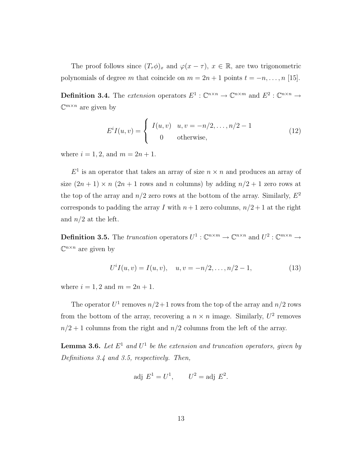The proof follows since  $(T_\tau \phi)_x$  and  $\varphi(x - \tau)$ ,  $x \in \mathbb{R}$ , are two trigonometric polynomials of degree m that coincide on  $m = 2n + 1$  points  $t = -n, \ldots, n$  [15].

**Definition 3.4.** The extension operators  $E^1$ :  $\mathbb{C}^{n \times n} \to \mathbb{C}^{n \times m}$  and  $E^2$ :  $\mathbb{C}^{n \times n} \to$  $\mathbb{C}^{m \times n}$  are given by

$$
E^{i}I(u,v) = \begin{cases} I(u,v) & u,v = -n/2, \dots, n/2 - 1 \\ 0 & \text{otherwise,} \end{cases}
$$
 (12)

where  $i = 1, 2,$  and  $m = 2n + 1$ .

 $E<sup>1</sup>$  is an operator that takes an array of size  $n \times n$  and produces an array of size  $(2n + 1) \times n$   $(2n + 1$  rows and n columns) by adding  $n/2 + 1$  zero rows at the top of the array and  $n/2$  zero rows at the bottom of the array. Similarly,  $E^2$ corresponds to padding the array I with  $n+1$  zero columns,  $n/2+1$  at the right and  $n/2$  at the left.

**Definition 3.5.** The truncation operators  $U^1$  :  $\mathbb{C}^{n \times m} \to \mathbb{C}^{n \times n}$  and  $U^2$  :  $\mathbb{C}^{m \times n} \to$  $\mathbb{C}^{n \times n}$  are given by

$$
U^{i}I(u,v) = I(u,v), \quad u, v = -n/2, \dots, n/2 - 1,
$$
\n(13)

where  $i = 1, 2$  and  $m = 2n + 1$ .

The operator  $U^1$  removes  $n/2+1$  rows from the top of the array and  $n/2$  rows from the bottom of the array, recovering a  $n \times n$  image. Similarly,  $U^2$  removes  $n/2 + 1$  columns from the right and  $n/2$  columns from the left of the array.

**Lemma 3.6.** Let  $E^1$  and  $U^1$  be the extension and truncation operators, given by Definitions 3.4 and 3.5, respectively. Then,

$$
adj E1 = U1, \t U2 = adj E2.
$$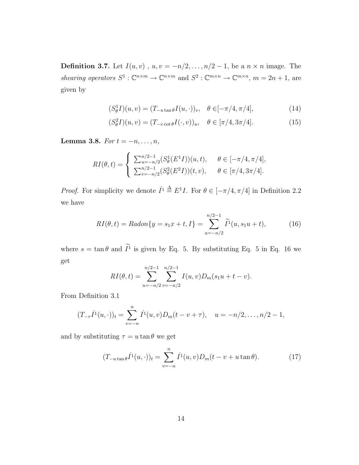**Definition 3.7.** Let  $I(u, v)$ ,  $u, v = -n/2, ..., n/2 - 1$ , be a  $n \times n$  image. The shearing operators  $S^1 : \mathbb{C}^{n \times m} \to \mathbb{C}^{n \times m}$  and  $S^2 : \mathbb{C}^{m \times n} \to \mathbb{C}^{m \times n}$ ,  $m = 2n + 1$ , are given by

$$
(S^1_{\theta}I)(u,v) = (T_{-u \tan \theta}I(u,\cdot))_v, \quad \theta \in [-\pi/4, \pi/4],
$$
 (14)

$$
(S^2_{\theta}I)(u,v) = (T_{-v \cot \theta}I(\cdot,v))_u, \quad \theta \in [\pi/4, 3\pi/4].
$$
 (15)

Lemma 3.8. For  $t = -n, \ldots, n$ ,

$$
RI(\theta, t) = \begin{cases} \sum_{u=-n/2}^{n/2-1} (S_{\theta}^1(E^1 I))(u, t), & \theta \in [-\pi/4, \pi/4], \\ \sum_{v=-n/2}^{n/2-1} (S_{\theta}^2(E^2 I))(t, v), & \theta \in [\pi/4, 3\pi/4]. \end{cases}
$$

*Proof.* For simplicity we denote  $I^1 \triangleq E^1 I$ . For  $\theta \in [-\pi/4, \pi/4]$  in Definition 2.2 we have

$$
RI(\theta, t) = Radon\{y = s_1x + t, I\} = \sum_{u = -n/2}^{n/2 - 1} \widetilde{I}^1(u, s_1u + t),
$$
 (16)

where  $s = \tan \theta$  and  $I^1$  is given by Eq. 5. By substituting Eq. 5 in Eq. 16 we get

$$
RI(\theta, t) = \sum_{u=-n/2}^{n/2-1} \sum_{v=-n/2}^{n/2-1} I(u, v) D_m(s_1u + t - v).
$$

From Definition 3.1

$$
(T_{-\tau}\dot{I}^1(u,\cdot))_t = \sum_{v=-n}^n \dot{I}^1(u,v)D_m(t-v+\tau), \quad u = -n/2,\ldots,n/2-1,
$$

and by substituting  $\tau = u \tan \theta$  we get

$$
(T_{-u \tan \theta} \dot{I}^1(u, \cdot))_t = \sum_{v=-n}^n \dot{I}^1(u, v) D_m(t - v + u \tan \theta).
$$
 (17)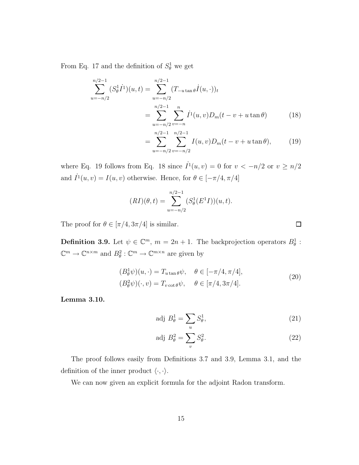From Eq. 17 and the definition of  $S^1_{\theta}$  we get

$$
\sum_{u=-n/2}^{n/2-1} (S_{\theta}^1 \dot{I}^1)(u,t) = \sum_{u=-n/2}^{n/2-1} (T_{-u \tan \theta} \dot{I}(u,\cdot))_t
$$
  
= 
$$
\sum_{u=-n/2}^{n/2-1} \sum_{v=-n}^{n} \dot{I}^1(u,v) D_m(t-v+u \tan \theta)
$$
 (18)

$$
= \sum_{u=-n/2}^{n/2-1} \sum_{v=-n/2}^{n/2-1} I(u,v)D_m(t-v+u\tan\theta), \qquad (19)
$$

where Eq. 19 follows from Eq. 18 since  $\dot{I}^1(u, v) = 0$  for  $v < -n/2$  or  $v \ge n/2$ and  $\dot{I}^1(u, v) = I(u, v)$  otherwise. Hence, for  $\theta \in [-\pi/4, \pi/4]$ 

$$
(RI)(\theta, t) = \sum_{u=-n/2}^{n/2-1} (S^1_{\theta}(E^1 I))(u, t).
$$

The proof for  $\theta \in [\pi/4, 3\pi/4]$  is similar.

**Definition 3.9.** Let  $\psi \in \mathbb{C}^m$ ,  $m = 2n + 1$ . The backprojection operators  $B^1_{\theta}$ :  $\mathbb{C}^m \to \mathbb{C}^{n \times m}$  and  $B_\theta^2 : \mathbb{C}^m \to \mathbb{C}^{m \times n}$  are given by

$$
(B_{\theta}^{1}\psi)(u,\cdot) = T_{u\tan\theta}\psi, \quad \theta \in [-\pi/4, \pi/4],
$$
  

$$
(B_{\theta}^{2}\psi)(\cdot, v) = T_{v \cot\theta}\psi, \quad \theta \in [\pi/4, 3\pi/4].
$$
 (20)

Lemma 3.10.

$$
adj B^1_{\theta} = \sum_{u} S^1_{\theta}, \qquad (21)
$$

$$
adj B_{\theta}^2 = \sum_{v} S_{\theta}^2.
$$
 (22)

The proof follows easily from Definitions 3.7 and 3.9, Lemma 3.1, and the definition of the inner product  $\langle \cdot, \cdot \rangle$ .

We can now given an explicit formula for the adjoint Radon transform.

 $\Box$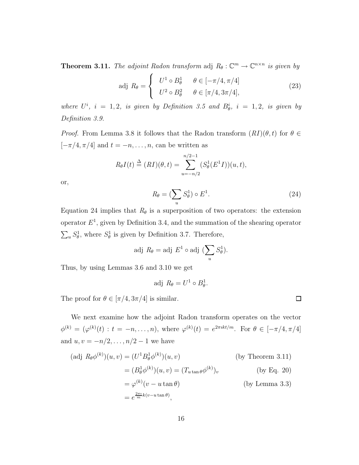**Theorem 3.11.** The adjoint Radon transform adj  $R_{\theta}: \mathbb{C}^m \to \mathbb{C}^{n \times n}$  is given by

$$
\text{adj } R_{\theta} = \begin{cases} U^1 \circ B_{\theta}^1 & \theta \in [-\pi/4, \pi/4] \\ U^2 \circ B_{\theta}^2 & \theta \in [\pi/4, 3\pi/4], \end{cases} \tag{23}
$$

where  $U^i$ ,  $i = 1, 2$ , is given by Definition 3.5 and  $B^i_{\theta}$ ,  $i = 1, 2$ , is given by Definition 3.9.

*Proof.* From Lemma 3.8 it follows that the Radon transform  $(RI)(\theta, t)$  for  $\theta \in$  $[-\pi/4, \pi/4]$  and  $t=-n, \ldots, n$  can be written as

$$
R_{\theta}I(t) \stackrel{\Delta}{=} (RI)(\theta, t) = \sum_{u=-n/2}^{n/2-1} (S_{\theta}^1(E^1I))(u, t),
$$

or,

$$
R_{\theta} = \left(\sum_{u} S_{\theta}^{1}\right) \circ E^{1}.
$$
\n(24)

Equation 24 implies that  $R_{\theta}$  is a superposition of two operators: the extension operator  $E^1$ , given by Definition 3.4, and the summation of the shearing operator  $\sum_u S^1_{\theta}$ , where  $S^1_{\theta}$  is given by Definition 3.7. Therefore,

$$
adj R_{\theta} = adj E^{1} \circ adj (\sum_{u} S_{\theta}^{1}).
$$

Thus, by using Lemmas 3.6 and 3.10 we get

$$
adj R_{\theta} = U^1 \circ B_{\theta}^1.
$$

The proof for  $\theta \in [\pi/4, 3\pi/4]$  is similar.

We next examine how the adjoint Radon transform operates on the vector  $\phi^{(k)} = (\varphi^{(k)}(t) : t = -n, \dots, n),$  where  $\varphi^{(k)}(t) = e^{2\pi i kt/m}$ . For  $\theta \in [-\pi/4, \pi/4]$ and  $u, v = -n/2, ..., n/2 - 1$  we have

$$
(\text{adj } R_{\theta} \phi^{(k)})(u, v) = (U^1 B_{\theta}^1 \phi^{(k)})(u, v)
$$
 (by Theorem 3.11)  

$$
= (B_{\theta}^1 \phi^{(k)})(u, v) = (T_{u \tan \theta} \phi^{(k)})_v
$$
 (by Eq. 20)  

$$
= \varphi^{(k)}(v - u \tan \theta)
$$
 (by Lemma 3.3)  

$$
= e^{\frac{2\pi i}{m}k(v - u \tan \theta)},
$$

 $\Box$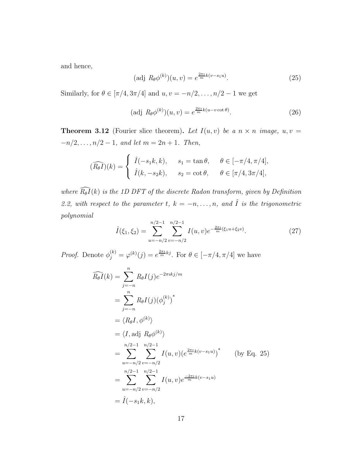and hence,

$$
(\text{adj } R_{\theta} \phi^{(k)})(u, v) = e^{\frac{2\pi i}{m}k(v - s_1 u)}.
$$
\n(25)

Similarly, for  $\theta \in [\pi/4, 3\pi/4]$  and  $u, v = -n/2, \ldots, n/2 - 1$  we get

$$
(\text{adj } R_{\theta} \phi^{(k)})(u, v) = e^{\frac{2\pi i}{m}k(u - v \cot \theta)}.
$$
\n
$$
(26)
$$

**Theorem 3.12** (Fourier slice theorem). Let  $I(u, v)$  be a  $n \times n$  image,  $u, v =$  $-n/2, \ldots, n/2-1, \text{ and let } m = 2n + 1. \text{ Then,}$ 

$$
(\widehat{R_{\theta}I})(k) = \begin{cases} \hat{I}(-s_1k, k), & s_1 = \tan \theta, & \theta \in [-\pi/4, \pi/4], \\ \hat{I}(k, -s_2k), & s_2 = \cot \theta, & \theta \in [\pi/4, 3\pi/4], \end{cases}
$$

where  $\widehat{R_{\theta}I}(k)$  is the 1D DFT of the discrete Radon transform, given by Definition 2.2, with respect to the parameter t,  $k = -n, \ldots, n$ , and  $\hat{I}$  is the trigonometric polynomial

$$
\hat{I}(\xi_1, \xi_2) = \sum_{u=-n/2}^{n/2-1} \sum_{v=-n/2}^{n/2-1} I(u, v) e^{-\frac{2\pi i}{m}(\xi_1 u + \xi_2 v)}.
$$
\n(27)

*Proof.* Denote  $\phi_j^{(k)} = \varphi^{(k)}(j) = e^{\frac{2\pi i}{m}kj}$ . For  $\theta \in [-\pi/4, \pi/4]$  we have

$$
\widehat{R_{\theta}I}(k) = \sum_{j=-n}^{n} R_{\theta}I(j)e^{-2\pi i k j/m}
$$
\n
$$
= \sum_{j=-n}^{n} R_{\theta}I(j)(\phi_j^{(k)})^*
$$
\n
$$
= \langle R_{\theta}I, \phi^{(k)} \rangle
$$
\n
$$
= \langle I, \text{adj } R_{\theta}\phi^{(k)} \rangle
$$
\n
$$
= \sum_{u=-n/2}^{n/2-1} \sum_{v=-n/2}^{n/2-1} I(u,v)(e^{\frac{2\pi i}{m}k(v-s_1u)})^* \qquad \text{(by Eq. 25)}
$$
\n
$$
= \sum_{u=-n/2}^{n/2-1} \sum_{v=-n/2}^{n/2-1} I(u,v)e^{\frac{-2\pi i}{m}k(v-s_1u)}
$$
\n
$$
= \widehat{I}(-s_1k, k),
$$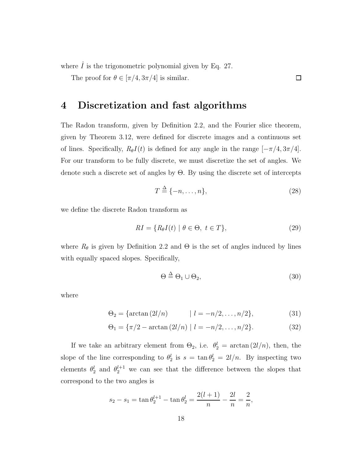where  $\hat{I}$  is the trigonometric polynomial given by Eq. 27.

The proof for  $\theta \in [\pi/4, 3\pi/4]$  is similar.

# 4 Discretization and fast algorithms

The Radon transform, given by Definition 2.2, and the Fourier slice theorem, given by Theorem 3.12, were defined for discrete images and a continuous set of lines. Specifically,  $R_{\theta}I(t)$  is defined for any angle in the range  $[-\pi/4, 3\pi/4]$ . For our transform to be fully discrete, we must discretize the set of angles. We denote such a discrete set of angles by Θ. By using the discrete set of intercepts

$$
T \stackrel{\Delta}{=} \{-n, \dots, n\},\tag{28}
$$

 $\Box$ 

we define the discrete Radon transform as

$$
RI = \{ R_{\theta} I(t) \mid \theta \in \Theta, \ t \in T \},\tag{29}
$$

where  $R_{\theta}$  is given by Definition 2.2 and  $\Theta$  is the set of angles induced by lines with equally spaced slopes. Specifically,

$$
\Theta \stackrel{\Delta}{=} \Theta_1 \cup \Theta_2,\tag{30}
$$

where

$$
\Theta_2 = \{ \arctan(2l/n) \qquad | l = -n/2, \dots, n/2 \}, \tag{31}
$$

$$
\Theta_1 = \{\pi/2 - \arctan(2l/n) \mid l = -n/2, \dots, n/2\}.
$$
 (32)

If we take an arbitrary element from  $\Theta_2$ , i.e.  $\theta_2^l = \arctan\left(\frac{2l}{n}\right)$ , then, the slope of the line corresponding to  $\theta_2^l$  is  $s = \tan \theta_2^l = 2l/n$ . By inspecting two elements  $\theta_2^l$  and  $\theta_2^{l+1}$  we can see that the difference between the slopes that correspond to the two angles is

$$
s_2 - s_1 = \tan \theta_2^{l+1} - \tan \theta_2^l = \frac{2(l+1)}{n} - \frac{2l}{n} = \frac{2}{n},
$$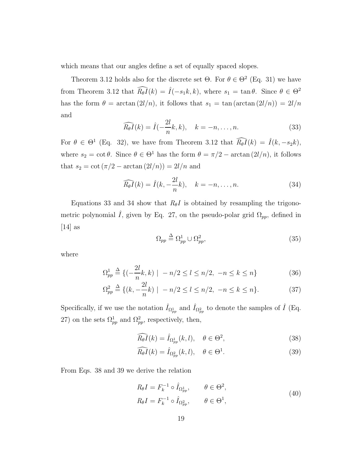which means that our angles define a set of equally spaced slopes.

Theorem 3.12 holds also for the discrete set  $\Theta$ . For  $\theta \in \Theta^2$  (Eq. 31) we have from Theorem 3.12 that  $\widehat{R_{\theta}I}(k) = \widehat{I}(-s_1k, k)$ , where  $s_1 = \tan \theta$ . Since  $\theta \in \Theta^2$ has the form  $\theta = \arctan(2l/n)$ , it follows that  $s_1 = \tan(\arctan(2l/n)) = 2l/n$ and

$$
\widehat{R_{\theta}I}(k) = \widehat{I}(-\frac{2l}{n}k, k), \quad k = -n, \dots, n.
$$
\n(33)

For  $\theta \in \Theta^1$  (Eq. 32), we have from Theorem 3.12 that  $\widehat{R_{\theta}I}(k) = \widehat{I}(k, -s_2k)$ , where  $s_2 = \cot \theta$ . Since  $\theta \in \Theta^1$  has the form  $\theta = \pi/2 - \arctan(2l/n)$ , it follows that  $s_2 = \cot(\pi/2 - \arctan(2l/n)) = 2l/n$  and

$$
\widehat{R_{\theta}I}(k) = \widehat{I}(k, -\frac{2l}{n}k), \quad k = -n, \dots, n.
$$
 (34)

Equations 33 and 34 show that  $R_{\theta}I$  is obtained by resampling the trigonometric polynomial  $\hat{I}$ , given by Eq. 27, on the pseudo-polar grid  $\Omega_{pp}$ , defined in  $[14]$  as

$$
\Omega_{pp} \stackrel{\Delta}{=} \Omega_{pp}^1 \cup \Omega_{pp}^2,\tag{35}
$$

where

$$
\Omega_{pp}^1 \stackrel{\Delta}{=} \{ (-\frac{2l}{n}k, k) \mid -n/2 \le l \le n/2, -n \le k \le n \}
$$
 (36)

$$
\Omega_{pp}^2 \triangleq \{ (k, -\frac{2l}{n}k) \mid -n/2 \le l \le n/2, -n \le k \le n \}. \tag{37}
$$

Specifically, if we use the notation  $\hat{I}_{\Omega_{pp}^1}$  and  $\hat{I}_{\Omega_{pp}^2}$  to denote the samples of  $\hat{I}$  (Eq. 27) on the sets  $\Omega_{pp}^1$  and  $\Omega_{pp}^2$ , respectively, then,

$$
\widehat{R_{\theta}I}(k) = \widehat{I}_{\Omega_{pp}^1}(k, l), \quad \theta \in \Theta^2,
$$
\n(38)

$$
\widehat{R_{\theta}I}(k) = \widehat{I}_{\Omega_{pp}^2}(k, l), \quad \theta \in \Theta^1. \tag{39}
$$

From Eqs. 38 and 39 we derive the relation

$$
R_{\theta}I = F_k^{-1} \circ \hat{I}_{\Omega_{pp}^1}, \qquad \theta \in \Theta^2,
$$
  

$$
R_{\theta}I = F_k^{-1} \circ \hat{I}_{\Omega_{pp}^2}, \qquad \theta \in \Theta^1,
$$
 (40)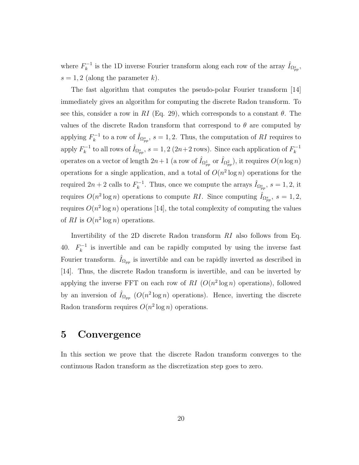where  $F_k^{-1}$  is the 1D inverse Fourier transform along each row of the array  $\hat{I}_{\Omega_{pp}^s}$ ,  $s = 1, 2$  (along the parameter k).

The fast algorithm that computes the pseudo-polar Fourier transform [14] immediately gives an algorithm for computing the discrete Radon transform. To see this, consider a row in RI (Eq. 29), which corresponds to a constant  $\theta$ . The values of the discrete Radon transform that correspond to  $\theta$  are computed by applying  $F_k^{-1}$  to a row of  $\hat{I}_{\Omega_{pp}^s}$ ,  $s = 1, 2$ . Thus, the computation of RI requires to apply  $F_k^{-1}$  to all rows of  $\hat{I}_{\Omega_{pp}^s}$ ,  $s = 1, 2$  (2n+2 rows). Since each application of  $F_k^{-1}$ operates on a vector of length  $2n+1$  (a row of  $\hat{I}_{\Omega_{pp}^1}$  or  $\hat{I}_{\Omega_{pp}^2}$ ), it requires  $O(n \log n)$ operations for a single application, and a total of  $O(n^2 \log n)$  operations for the required  $2n+2$  calls to  $F_k^{-1}$ . Thus, once we compute the arrays  $\hat{I}_{\Omega_{pp}^s}$ ,  $s=1,2$ , it requires  $O(n^2 \log n)$  operations to compute RI. Since computing  $\hat{I}_{\Omega_{pp}^s}$ ,  $s = 1, 2,$ requires  $O(n^2 \log n)$  operations [14], the total complexity of computing the values of RI is  $O(n^2 \log n)$  operations.

Invertibility of the 2D discrete Radon transform RI also follows from Eq. 40.  $F_k^{-1}$  is invertible and can be rapidly computed by using the inverse fast Fourier transform.  $\hat{I}_{\Omega_{pp}}$  is invertible and can be rapidly inverted as described in [14]. Thus, the discrete Radon transform is invertible, and can be inverted by applying the inverse FFT on each row of RI  $(O(n^2 \log n)$  operations), followed by an inversion of  $\hat{I}_{\Omega_{pp}}$  ( $O(n^2 \log n)$ ) operations). Hence, inverting the discrete Radon transform requires  $O(n^2 \log n)$  operations.

### 5 Convergence

In this section we prove that the discrete Radon transform converges to the continuous Radon transform as the discretization step goes to zero.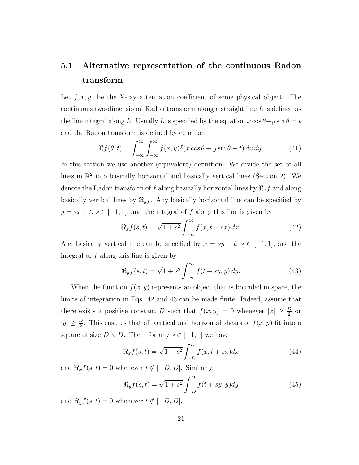# 5.1 Alternative representation of the continuous Radon transform

Let  $f(x, y)$  be the X-ray attenuation coefficient of some physical object. The continuous two-dimensional Radon transform along a straight line L is defined as the line integral along L. Usually L is specified by the equation  $x \cos \theta + y \sin \theta = t$ and the Radon transform is defined by equation

$$
\Re f(\theta, t) = \int_{-\infty}^{\infty} \int_{-\infty}^{\infty} f(x, y) \delta(x \cos \theta + y \sin \theta - t) dx dy.
$$
 (41)

In this section we use another (equivalent) definition. We divide the set of all lines in  $\mathbb{R}^2$  into basically horizontal and basically vertical lines (Section 2). We denote the Radon transform of f along basically horizontal lines by  $\Re_x f$  and along basically vertical lines by  $\Re_y f$ . Any basically horizontal line can be specified by  $y = sx + t, s \in [-1, 1]$ , and the integral of f along this line is given by

$$
\Re_x f(s,t) = \sqrt{1+s^2} \int_{-\infty}^{\infty} f(x,t+sx) dx.
$$
 (42)

Any basically vertical line can be specified by  $x = sy + t$ ,  $s \in [-1, 1]$ , and the integral of  $f$  along this line is given by

$$
\Re_y f(s,t) = \sqrt{1+s^2} \int_{-\infty}^{\infty} f(t+sy,y) \, dy. \tag{43}
$$

When the function  $f(x, y)$  represents an object that is bounded in space, the limits of integration in Eqs. 42 and 43 can be made finite. Indeed, assume that there exists a positive constant D such that  $f(x, y) = 0$  whenever  $|x| \geq \frac{D}{2}$  or  $|y| \geq \frac{D}{2}$ . This ensures that all vertical and horizontal shears of  $f(x, y)$  fit into a square of size  $D \times D$ . Then, for any  $s \in [-1, 1]$  we have

$$
\Re_x f(s, t) = \sqrt{1 + s^2} \int_{-D}^{D} f(x, t + sx) dx
$$
 (44)

and  $\Re_x f(s, t) = 0$  whenever  $t \notin [-D, D]$ . Similarly,

$$
\Re_y f(s, t) = \sqrt{1 + s^2} \int_{-D}^{D} f(t + sy, y) dy
$$
\n(45)

and  $\Re_y f(s, t) = 0$  whenever  $t \notin [-D, D]$ .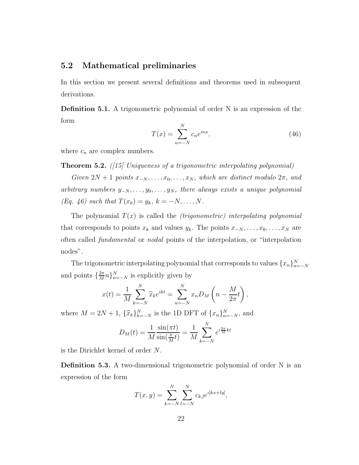### 5.2 Mathematical preliminaries

In this section we present several definitions and theorems used in subsequent derivations.

Definition 5.1. A trigonometric polynomial of order N is an expression of the form

$$
T(x) = \sum_{n=-N}^{N} c_n e^{inx},
$$
\n(46)

where  $c_n$  are complex numbers.

**Theorem 5.2.** ([15] Uniqueness of a trigonometric interpolating polynomial)

Given  $2N + 1$  points  $x_{-N}, \ldots, x_0, \ldots, x_N$ , which are distinct modulo  $2\pi$ , and arbitrary numbers  $y_{-N}, \ldots, y_0, \ldots, y_N$ , there always exists a unique polynomial (Eq. 46) such that  $T(x_k) = y_k, k = -N, ..., N$ .

The polynomial  $T(x)$  is called the *(trigonometric)* interpolating polynomial that corresponds to points  $x_k$  and values  $y_k$ . The points  $x_{-N}, \ldots, x_0, \ldots, x_N$  are often called fundamental or nodal points of the interpolation, or "interpolation nodes".

The trigonometric interpolating polynomial that corresponds to values  $\{x_n\}_{n=-N}^N$ and points  $\left\{\frac{2\pi}{M}\right\}$  $\frac{2\pi}{M}n\}_{n=-N}^{N}$  is explicitly given by

$$
x(t) = \frac{1}{M} \sum_{k=-N}^{N} \widehat{x}_k e^{ikt} = \sum_{n=-N}^{N} x_n D_M \left( n - \frac{M}{2\pi} t \right),
$$

where  $M = 2N + 1$ ,  $\{\hat{x}_k\}_{k=-N}^N$  is the 1D DFT of  $\{x_n\}_{n=-N}^N$ , and

$$
D_M(t) = \frac{1}{M} \frac{\sin(\pi t)}{\sin(\frac{\pi}{M}t)} = \frac{1}{M} \sum_{k=-N}^{N} e^{i\frac{2\pi}{M}kt}
$$

is the Dirichlet kernel of order N.

Definition 5.3. A two-dimensional trigonometric polynomial of order N is an expression of the form

$$
T(x,y) = \sum_{k=-N}^{N} \sum_{l=-N}^{N} c_{k,l} e^{i[kx+ly]},
$$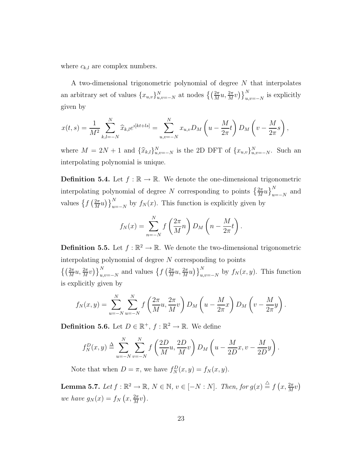where  $c_{k,l}$  are complex numbers.

A two-dimensional trigonometric polynomial of degree N that interpolates an arbitrary set of values  ${x_{u,v}}_{u,v=-N}^N$  at nodes  $\left\{\left(\frac{2\pi}{M}u, \frac{2\pi}{M}v\right)\right\}_{u,v}^N$  $\sum_{u,v=-N}^{N}$  is explicitly given by

$$
x(t,s) = \frac{1}{M^2} \sum_{k,l=-N}^{N} \widehat{x}_{k,l} e^{i[k+ls]} = \sum_{u,v=-N}^{N} x_{u,v} D_M \left( u - \frac{M}{2\pi} t \right) D_M \left( v - \frac{M}{2\pi} s \right),
$$

where  $M = 2N + 1$  and  $\{\hat{x}_{k,l}\}_{u,v=-N}^N$  is the 2D DFT of  $\{x_{u,v}\}_{u,v=-N}^N$ . Such an interpolating polynomial is unique.

**Definition 5.4.** Let  $f : \mathbb{R} \to \mathbb{R}$ . We denote the one-dimensional trigonometric interpolating polynomial of degree N corresponding to points  $\left\{\frac{2\pi}{M}u\right\}_{u=1}^{N}$  $\sum_{u=-N}^{N}$  and values  $\int f\left(\frac{2\pi}{M}\right)$  $\frac{2\pi}{M}u\big)\big\}_{u}^N$  $\int_{u=-N}^{N}$  by  $f_N(x)$ . This function is explicitly given by

$$
f_N(x) = \sum_{n=-N}^{N} f\left(\frac{2\pi}{M}n\right) D_M\left(n - \frac{M}{2\pi}t\right).
$$

**Definition 5.5.** Let  $f : \mathbb{R}^2 \to \mathbb{R}$ . We denote the two-dimensional trigonometric interpolating polynomial of degree  $N$  corresponding to points  $\left\{\left(\frac{2\pi}{M}u,\frac{2\pi}{M}v\right)\right\}_{u,}^{N}$  $_{u,v=-N}^{N}$  and values  $\left\{f\left(\frac{2\pi}{M}\right)\right\}$  $\frac{2\pi}{M}u,\frac{2\pi}{M}u\big)\big\}_{u,}^{N}$  $\sum_{u,v=-N}^{N}$  by  $f_N(x, y)$ . This function is explicitly given by

$$
f_N(x,y) = \sum_{u=-N}^N \sum_{u=-N}^N f\left(\frac{2\pi}{M}u, \frac{2\pi}{M}v\right) D_M\left(u - \frac{M}{2\pi}x\right) D_M\left(v - \frac{M}{2\pi}y\right).
$$

**Definition 5.6.** Let  $D \in \mathbb{R}^+$ ,  $f : \mathbb{R}^2 \to \mathbb{R}$ . We define

$$
f_N^D(x, y) \triangleq \sum_{u=-N}^N \sum_{v=-N}^N f\left(\frac{2D}{M}u, \frac{2D}{M}v\right) D_M\left(u - \frac{M}{2D}x, v - \frac{M}{2D}y\right).
$$

Note that when  $D = \pi$ , we have  $f_N^D(x, y) = f_N(x, y)$ .

**Lemma 5.7.** Let  $f : \mathbb{R}^2 \to \mathbb{R}$ ,  $N \in \mathbb{N}$ ,  $v \in [-N : N]$ . Then, for  $g(x) \stackrel{\triangle}{=} f(x, \frac{2\pi}{M}v)$ we have  $g_N(x) = f_N(x, \frac{2\pi}{M}v)$ .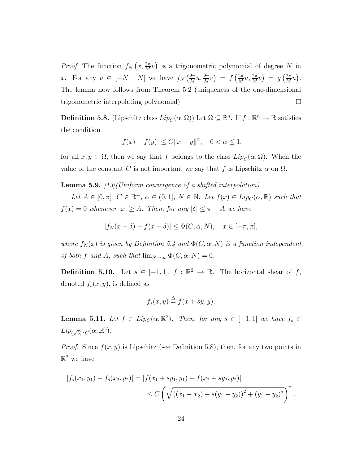*Proof.* The function  $f_N(x, \frac{2\pi}{M}v)$  is a trigonometric polynomial of degree N in x. For any  $u \in [-N : N]$  we have  $f_N\left(\frac{2\pi}{M}\right)$  $\frac{2\pi}{M}u, \frac{2\pi}{M}v \Big) = f \left( \frac{2\pi}{M} \right)$  $\frac{2\pi}{M}u, \frac{2\pi}{M}v \Big) = g\left(\frac{2\pi}{M}\right)$  $\frac{2\pi}{M}u$ . The lemma now follows from Theorem 5.2 (uniqueness of the one-dimensional  $\Box$ trigonometric interpolating polynomial).

**Definition 5.8.** (Lipschitz class  $Lip_C(\alpha, \Omega)$ ) Let  $\Omega \subseteq \mathbb{R}^n$ . If  $f : \mathbb{R}^n \to \mathbb{R}$  satisfies the condition

$$
|f(x)-f(y)|\leq C\|x-y\|^{\alpha},\quad 0<\alpha\leq 1,
$$

for all  $x, y \in \Omega$ , then we say that f belongs to the class  $Lip_C(\alpha, \Omega)$ . When the value of the constant C is not important we say that f is Lipschitz  $\alpha$  on  $\Omega$ .

**Lemma 5.9.**  $\frac{13}{Uniform}$  convergence of a shifted interpolation)

Let  $A \in [0, \pi]$ ,  $C \in \mathbb{R}^+$ ,  $\alpha \in (0, 1]$ ,  $N \in \mathbb{N}$ . Let  $f(x) \in Lip_C(\alpha, \mathbb{R})$  such that  $f(x) = 0$  whenever  $|x| \ge A$ . Then, for any  $|\delta| \le \pi - A$  we have

$$
|f_N(x - \delta) - f(x - \delta)| \le \Phi(C, \alpha, N), \quad x \in [-\pi, \pi],
$$

where  $f_N(x)$  is given by Definition 5.4 and  $\Phi(C, \alpha, N)$  is a function independent of both f and A, such that  $\lim_{N\to\infty} \Phi(C, \alpha, N) = 0$ .

**Definition 5.10.** Let  $s \in [-1, 1], f : \mathbb{R}^2 \to \mathbb{R}$ . The horizontal shear of f, denoted  $f_s(x, y)$ , is defined as

$$
f_s(x, y) \stackrel{\Delta}{=} f(x + sy, y).
$$

**Lemma 5.11.** Let  $f \in Lip_C(\alpha, \mathbb{R}^2)$ . Then, for any  $s \in [-1, 1]$  we have  $f_s \in$  $Lip_{(\sqrt{3})^{\alpha}C}(\alpha,\mathbb{R}^2).$ 

*Proof.* Since  $f(x, y)$  is Lipschitz (see Definition 5.8), then, for any two points in  $\mathbb{R}^2$  we have

$$
|f_s(x_1, y_1) - f_s(x_2, y_2)| = |f(x_1 + sy_1, y_1) - f(x_2 + sy_2, y_2)|
$$
  
\n
$$
\leq C \left( \sqrt{\left( (x_1 - x_2) + s(y_1 - y_2) \right)^2 + (y_1 - y_2)^2} \right)^{\alpha}.
$$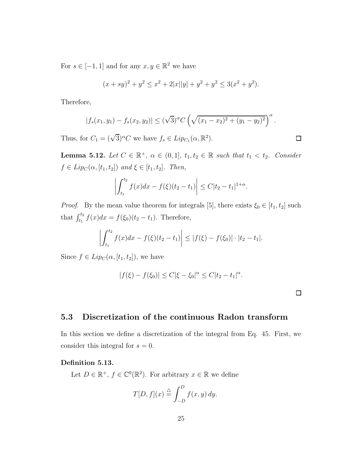For  $s \in [-1, 1]$  and for any  $x, y \in \mathbb{R}^2$  we have

$$
(x+sy)^2 + y^2 \le x^2 + 2|x||y| + y^2 + y^2 \le 3(x^2 + y^2).
$$

Therefore,

$$
|f_s(x_1, y_1) - f_s(x_2, y_2)| \le (\sqrt{3})^{\alpha} C \left(\sqrt{(x_1 - x_2)^2 + (y_1 - y_2)^2}\right)^{\alpha}
$$

Thus, for  $C_1 = (\sqrt{3})^{\alpha} C$  we have  $f_s \in Lip_{C_1}(\alpha, \mathbb{R}^2)$ .

**Lemma 5.12.** Let  $C \in \mathbb{R}^+$ ,  $\alpha \in (0,1]$ ,  $t_1, t_2 \in \mathbb{R}$  such that  $t_1 < t_2$ . Consider  $f \in Lip_C(\alpha, [t_1, t_2])$  and  $\xi \in [t_1, t_2]$ . Then,

$$
\left| \int_{t_1}^{t_2} f(x) dx - f(\xi)(t_2 - t_1) \right| \le C |t_2 - t_1|^{1 + \alpha}
$$

*Proof.* By the mean value theorem for integrals [5], there exists  $\xi_0 \in [t_1, t_2]$  such that  $\int_{t_1}^{t_2} f(x)dx = f(\xi_0)(t_2 - t_1)$ . Therefore,

$$
\left| \int_{t_1}^{t_2} f(x) dx - f(\xi)(t_2 - t_1) \right| \leq |f(\xi) - f(\xi_0)| \cdot |t_2 - t_1|.
$$

Since  $f \in Lip_C(\alpha, [t_1, t_2])$ , we have

$$
|f(\xi) - f(\xi_0)| \le C|\xi - \xi_0|^{\alpha} \le C|t_2 - t_1|^{\alpha}.
$$

.

 $\Box$ 

.

### 5.3 Discretization of the continuous Radon transform

In this section we define a discretization of the integral from Eq. 45. First, we consider this integral for  $s = 0$ .

### Definition 5.13.

Let  $D \in \mathbb{R}^+$ ,  $f \in \mathbb{C}^0(\mathbb{R}^2)$ . For arbitrary  $x \in \mathbb{R}$  we define

$$
T[D, f](x) \stackrel{\triangle}{=} \int_{-D}^{D} f(x, y) \, dy.
$$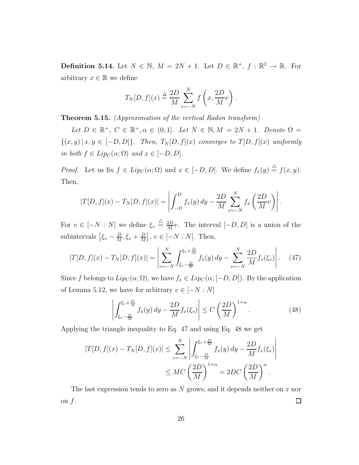**Definition 5.14.** Let  $N \in \mathbb{N}$ ,  $M = 2N + 1$ . Let  $D \in \mathbb{R}^+$ ,  $f : \mathbb{R}^2 \to \mathbb{R}$ . For arbitrary  $x \in \mathbb{R}$  we define

$$
T_N[D, f](x) \triangleq \frac{2D}{M} \sum_{v=-N}^{N} f\left(x, \frac{2D}{M}v\right).
$$

Theorem 5.15. (Approximation of the vertical Radon transform)

Let  $D \in \mathbb{R}^+$ ,  $C \in \mathbb{R}^+$ ,  $\alpha \in (0,1]$ . Let  $N \in \mathbb{N}$ ,  $M = 2N + 1$ . Denote  $\Omega =$  ${(x, y) | x, y \in [-D, D]}$ . Then,  $T_N[D, f](x)$  converges to  $T[D, f](x)$  uniformly in both  $f \in Lip_C(\alpha; \Omega)$  and  $x \in [-D, D]$ .

*Proof.* Let us fix  $f \in Lip_C(\alpha; \Omega)$  and  $x \in [-D, D]$ . We define  $f_x(y) \stackrel{\triangle}{=} f(x, y)$ . Then,

$$
|T[D, f](x) - T_N[D, f](x)| = \left| \int_{-D}^{D} f_x(y) \, dy - \frac{2D}{M} \sum_{v=-N}^{N} f_x \left( \frac{2D}{M} v \right) \right|.
$$

For  $v \in [-N:N]$  we define  $\xi_v \triangleq \frac{2D}{M}$  $\frac{2D}{M}v$ . The interval  $[-D, D]$  is a union of the subintervals  $\left[\xi_v - \frac{D}{M}\right]$  $\frac{D}{M}, \xi_v + \frac{D}{M}$  $\frac{D}{M}$ ,  $v \in [-N:N]$ . Then,

$$
|T[D, f](x) - T_N[D, f](x)| = \left| \sum_{v=-N}^{N} \int_{\xi_v - \frac{D}{M}}^{\xi_v + \frac{D}{M}} f_x(y) dy - \sum_{v=-N}^{N} \frac{2D}{M} f_x(\xi_v) \right|.
$$
 (47)

Since f belongs to  $Lip_C(\alpha;\Omega)$ , we have  $f_x \in Lip_C(\alpha;[-D,D])$ . By the application of Lemma 5.12, we have for arbitrary  $v \in [-N:N]$ 

$$
\left| \int_{\xi_v - \frac{D}{M}}^{\xi_v + \frac{D}{M}} f_x(y) dy - \frac{2D}{M} f_x(\xi_v) \right| \le C \left( \frac{2D}{M} \right)^{1+\alpha}.
$$
 (48)

Applying the triangle inequality to Eq. 47 and using Eq. 48 we get

$$
|T[D, f](x) - T_N[D, f](x)| \le \sum_{v=-N}^N \left| \int_{\xi_v - \frac{D}{M}}^{\xi_v + \frac{D}{M}} f_x(y) dy - \frac{2D}{M} f_x(\xi_v) \right|
$$
  

$$
\le MC \left(\frac{2D}{M}\right)^{1+\alpha} = 2DC \left(\frac{2D}{M}\right)^{\alpha}.
$$

The last expression tends to zero as  $N$  grows, and it depends neither on  $x$  nor on  $f$ .  $\Box$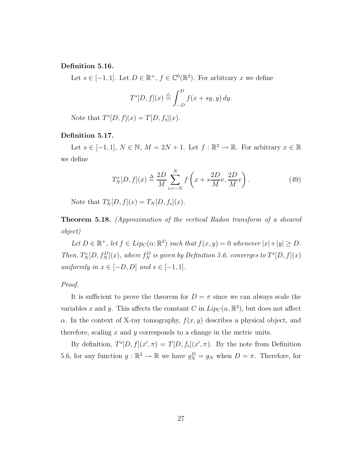### Definition 5.16.

Let  $s \in [-1, 1]$ . Let  $D \in \mathbb{R}^+$ ,  $f \in \mathbb{C}^0(\mathbb{R}^2)$ . For arbitrary x we define

$$
T^{s}[D, f](x) \stackrel{\triangle}{=} \int_{-D}^{D} f(x + sy, y) dy.
$$

Note that  $T^{s}[D, f](x) = T[D, f_s](x)$ .

### Definition 5.17.

Let  $s \in [-1,1], N \in \mathbb{N}, M = 2N + 1$ . Let  $f : \mathbb{R}^2 \to \mathbb{R}$ . For arbitrary  $x \in \mathbb{R}$ we define

$$
T_N^s[D, f](x) \stackrel{\Delta}{=} \frac{2D}{M} \sum_{v=-N}^N f\left(x + s\frac{2D}{M}v, \frac{2D}{M}v\right). \tag{49}
$$

Note that  $T_N^s[D, f](x) = T_N[D, f_s](x)$ .

Theorem 5.18. (Approximation of the vertical Radon transform of a sheared object)

Let  $D \in \mathbb{R}^+$ , let  $f \in Lip_C(\alpha; \mathbb{R}^2)$  such that  $f(x, y) = 0$  whenever  $|x| + |y| \ge D$ . Then,  $T_N^s[D, f_N^D](x)$ , where  $f_N^D$  is given by Definition 5.6, converges to  $T^s[D, f](x)$ uniformly in  $x \in [-D, D]$  and  $s \in [-1, 1]$ .

#### Proof.

It is sufficient to prove the theorem for  $D = \pi$  since we can always scale the variables x and y. This affects the constant C in  $Lip_C(\alpha, \mathbb{R}^2)$ , but does not affect  $\alpha$ . In the context of X-ray tomography,  $f(x, y)$  describes a physical object, and therefore, scaling  $x$  and  $y$  corresponds to a change in the metric units.

By definition,  $T^{s}[D, f](x', \pi) = T[D, f_s](x', \pi)$ . By the note from Definition 5.6, for any function  $g : \mathbb{R}^2 \to \mathbb{R}$  we have  $g_N^D = g_N$  when  $D = \pi$ . Therefore, for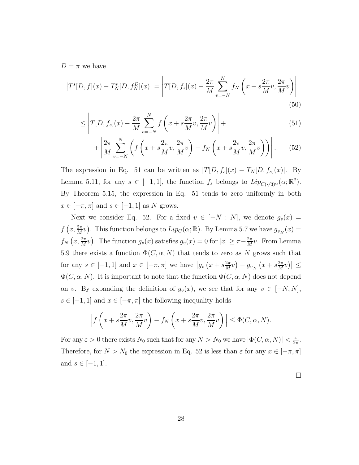$D = \pi$  we have

$$
\left|T^{s}[D,f](x) - T_{N}^{s}[D,f_{N}^{D}](x)\right| = \left|T[D,f_{s}](x) - \frac{2\pi}{M} \sum_{v=-N}^{N} f_{N}\left(x + s\frac{2\pi}{M}v, \frac{2\pi}{M}v\right)\right|
$$
\n(50)

$$
\leq \left| T[D, f_s](x) - \frac{2\pi}{M} \sum_{v=-N}^{N} f\left(x + s\frac{2\pi}{M}v, \frac{2\pi}{M}v\right) \right| +
$$
\n(51)

$$
+\left|\frac{2\pi}{M}\sum_{v=-N}^{N}\left(f\left(x+s\frac{2\pi}{M}v,\frac{2\pi}{M}v\right)-f_{N}\left(x+s\frac{2\pi}{M}v,\frac{2\pi}{M}v\right)\right)\right|.\tag{52}
$$

The expression in Eq. 51 can be written as  $|T[D, f_s](x) - T_N[D, f_s](x)|$ . By Lemma 5.11, for any  $s \in [-1,1]$ , the function  $f_s$  belongs to  $Lip_{C(\sqrt{3})^{\alpha}}(\alpha;\mathbb{R}^2)$ . By Theorem 5.15, the expression in Eq. 51 tends to zero uniformly in both  $x \in [-\pi, \pi]$  and  $s \in [-1, 1]$  as N grows.

Next we consider Eq. 52. For a fixed  $v \in [-N : N]$ , we denote  $g_v(x) =$  $f(x, \frac{2\pi}{M}v)$ . This function belongs to  $Lip_C(\alpha; \mathbb{R})$ . By Lemma 5.7 we have  $g_{v_N}(x) =$  $f_N(x, \frac{2\pi}{M}v)$ . The function  $g_v(x)$  satisfies  $g_v(x) = 0$  for  $|x| \ge \pi - \frac{2\pi}{M}$  $\frac{2\pi}{M}v$ . From Lemma 5.9 there exists a function  $\Phi(C, \alpha, N)$  that tends to zero as N grows such that for any  $s \in [-1, 1]$  and  $x \in [-\pi, \pi]$  we have  $|g_v(x + s_{\overline{M}}^{2\pi})|$  $\frac{2\pi}{M}v$  ) –  $g_{v_N}$   $\left(x + s\frac{2\pi}{M}\right)$  $\frac{2\pi}{M}v\Big)\Big|\leq$  $\Phi(C, \alpha, N)$ . It is important to note that the function  $\Phi(C, \alpha, N)$  does not depend on v. By expanding the definition of  $g_v(x)$ , we see that for any  $v \in [-N, N]$ ,  $s \in [-1, 1]$  and  $x \in [-\pi, \pi]$  the following inequality holds

$$
\left| f\left(x+s\frac{2\pi}{M}v,\frac{2\pi}{M}v\right) - f_N\left(x+s\frac{2\pi}{M}v,\frac{2\pi}{M}v\right) \right| \leq \Phi(C,\alpha,N).
$$

For any  $\varepsilon > 0$  there exists  $N_0$  such that for any  $N > N_0$  we have  $|\Phi(C, \alpha, N)| < \frac{\varepsilon}{2n}$  $rac{\varepsilon}{2\pi}$ . Therefore, for  $N > N_0$  the expression in Eq. 52 is less than  $\varepsilon$  for any  $x \in [-\pi, \pi]$ and  $s \in [-1, 1]$ .

 $\Box$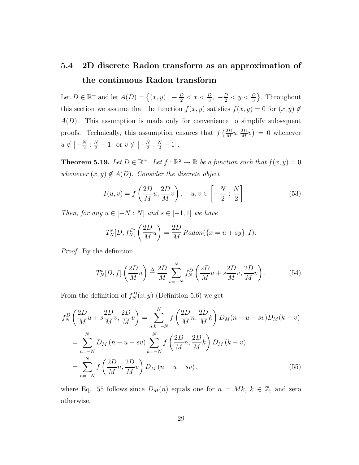# 5.4 2D discrete Radon transform as an approximation of the continuous Radon transform

Let  $D \in \mathbb{R}^+$  and let  $A(D) = \{(x, y) \mid -\frac{D}{2} < x < \frac{D}{3}, -\frac{D}{2} < y < \frac{D}{3}\}.$  Throughout this section we assume that the function  $f(x, y)$  satisfies  $f(x, y) = 0$  for  $(x, y) \notin$  $A(D)$ . This assumption is made only for convenience to simplify subsequent proofs. Technically, this assumption ensures that  $f\left(\frac{2D}{M}\right)$  $\frac{2D}{M}u, \frac{2D}{M}v$  = 0 whenever  $u \notin \left[ -\frac{N}{2} \right]$  $\frac{N}{2}$ :  $\frac{N}{2} - 1$  or  $v \notin \left[-\frac{N}{2}\right]$  $\frac{N}{2}$  :  $\frac{N}{2} - 1$ .

**Theorem 5.19.** Let  $D \in \mathbb{R}^+$ . Let  $f : \mathbb{R}^2 \to \mathbb{R}$  be a function such that  $f(x, y) = 0$ whenever  $(x, y) \notin A(D)$ . Consider the discrete object

$$
I(u,v) = f\left(\frac{2D}{M}u, \frac{2D}{M}v\right), \quad u, v \in \left[-\frac{N}{2} : \frac{N}{2}\right].
$$
 (53)

Then, for any  $u \in [-N:N]$  and  $s \in [-1,1]$  we have

$$
T_N^s[D, f_N^D] \left(\frac{2D}{M}u\right) = \frac{2D}{M} Radon(\lbrace x = u + sy \rbrace, I).
$$

Proof. By the definition,

$$
T_N^s[D, f] \left(\frac{2D}{M}u\right) \stackrel{\Delta}{=} \frac{2D}{M} \sum_{v=-N}^N f_N^D \left(\frac{2D}{M}u + s\frac{2D}{M}v, \frac{2D}{M}v\right). \tag{54}
$$

From the definition of  $f_N^D(x, y)$  (Definition 5.6) we get

$$
f_N^D \left( \frac{2D}{M} u + s \frac{2D}{M} v, \frac{2D}{M} v \right) = \sum_{n,k=-N}^N f \left( \frac{2D}{M} n, \frac{2D}{M} k \right) D_M (n - u - sv) D_M (k - v)
$$
  
= 
$$
\sum_{n=-N}^N D_M (n - u - sv) \sum_{k=-N}^N f \left( \frac{2D}{M} n, \frac{2D}{M} k \right) D_M (k - v)
$$
  
= 
$$
\sum_{n=-N}^N f \left( \frac{2D}{M} n, \frac{2D}{M} v \right) D_M (n - u - sv),
$$
 (55)

where Eq. 55 follows since  $D_M(n)$  equals one for  $n = Mk, k \in \mathbb{Z}$ , and zero otherwise.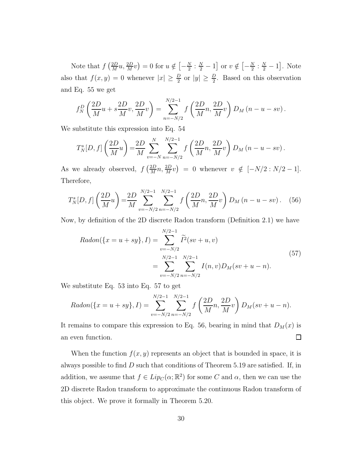Note that  $f\left(\frac{2D}{M}\right)$  $\frac{2D}{M}u, \frac{2D}{M}v$  = 0 for  $u \notin \left[-\frac{N}{2}\right]$  $\frac{N}{2}$ :  $\frac{N}{2} - 1$  or  $v \notin \left[ -\frac{N}{2} \right]$  $\frac{N}{2}$  :  $\frac{N}{2} - 1$ . Note also that  $f(x, y) = 0$  whenever  $|x| \geq \frac{D}{2}$  or  $|y| \geq \frac{D}{2}$ . Based on this observation and Eq. 55 we get

$$
f_N^D \left( \frac{2D}{M} u + s \frac{2D}{M} v, \frac{2D}{M} v \right) = \sum_{n=-N/2}^{N/2-1} f \left( \frac{2D}{M} n, \frac{2D}{M} v \right) D_M \left( n - u - sv \right).
$$

We substitute this expression into Eq. 54

$$
T_N^s[D, f] \left(\frac{2D}{M}u\right) = \frac{2D}{M} \sum_{v=-N}^N \sum_{n=-N/2}^{N/2-1} f\left(\frac{2D}{M}n, \frac{2D}{M}v\right) D_M (n-u-sv).
$$

As we already observed,  $f\left(\frac{2D}{M}\right)$  $\frac{2D}{M}n, \frac{2D}{M}v = 0$  whenever  $v \notin [-N/2 : N/2 - 1].$ Therefore,

$$
T_N^s[D, f] \left(\frac{2D}{M}u\right) = \frac{2D}{M} \sum_{v=-N/2}^{N/2-1} \sum_{n=-N/2}^{N/2-1} f\left(\frac{2D}{M}n, \frac{2D}{M}v\right) D_M\left(n-u-sv\right). \tag{56}
$$

Now, by definition of the 2D discrete Radon transform (Definition 2.1) we have

$$
Radon(\lbrace x = u + sy \rbrace, I) = \sum_{v = -N/2}^{N/2-1} \widetilde{I}^{2}(sv + u, v)
$$
  
= 
$$
\sum_{v = -N/2}^{N/2-1} \sum_{n = -N/2}^{N/2-1} I(n, v) D_{M}(sv + u - n).
$$
 (57)

We substitute Eq. 53 into Eq. 57 to get

$$
Radon(\lbrace x = u + sy \rbrace, I) = \sum_{v = -N/2}^{N/2-1} \sum_{n = -N/2}^{N/2-1} f\left(\frac{2D}{M}n, \frac{2D}{M}v\right) D_M(sv + u - n).
$$

It remains to compare this expression to Eq. 56, bearing in mind that  $D_M(x)$  is  $\Box$ an even function.

When the function  $f(x, y)$  represents an object that is bounded in space, it is always possible to find  $D$  such that conditions of Theorem 5.19 are satisfied. If, in addition, we assume that  $f \in Lip_C(\alpha; \mathbb{R}^2)$  for some C and  $\alpha$ , then we can use the 2D discrete Radon transform to approximate the continuous Radon transform of this object. We prove it formally in Theorem 5.20.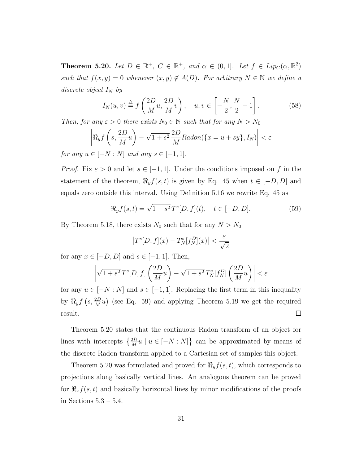**Theorem 5.20.** Let  $D \in \mathbb{R}^+$ ,  $C \in \mathbb{R}^+$ , and  $\alpha \in (0,1]$ . Let  $f \in Lip_C(\alpha, \mathbb{R}^2)$ such that  $f(x, y) = 0$  whenever  $(x, y) \notin A(D)$ . For arbitrary  $N \in \mathbb{N}$  we define a discrete object  $I_N$  by

$$
I_N(u,v) \stackrel{\triangle}{=} f\left(\frac{2D}{M}u, \frac{2D}{M}v\right), \quad u, v \in \left[-\frac{N}{2}, \frac{N}{2} - 1\right]. \tag{58}
$$

Then, for any  $\varepsilon > 0$  there exists  $N_0 \in \mathbb{N}$  such that for any  $N > N_0$ 

$$
\left| \Re_y f\left(s, \frac{2D}{M}u\right) - \sqrt{1+s^2} \frac{2D}{M} Radon(\lbrace x = u + sy \rbrace, I_N) \right| < \varepsilon
$$

for any  $u \in [-N:N]$  and any  $s \in [-1,1]$ .

*Proof.* Fix  $\varepsilon > 0$  and let  $s \in [-1, 1]$ . Under the conditions imposed on f in the statement of the theorem,  $\Re_y f(s, t)$  is given by Eq. 45 when  $t \in [-D, D]$  and equals zero outside this interval. Using Definition 5.16 we rewrite Eq. 45 as

$$
\Re_y f(s, t) = \sqrt{1 + s^2} T^s [D, f](t), \quad t \in [-D, D].
$$
 (59)

By Theorem 5.18, there exists  $N_0$  such that for any  $N > N_0$ 

$$
\left|T^s[D,f](x) - T^s_N[f_N^D](x)\right| < \frac{\varepsilon}{\sqrt{2}}
$$

for any  $x \in [-D, D]$  and  $s \in [-1, 1]$ . Then,

$$
\left| \sqrt{1+s^2} \, T^s[D,f] \left( \frac{2D}{M} u \right) - \sqrt{1+s^2} \, T^s_N[f_N^D] \left( \frac{2D}{M} u \right) \right| < \varepsilon
$$

for any  $u \in [-N:N]$  and  $s \in [-1,1]$ . Replacing the first term in this inequality by  $\Re_y f(s, \frac{2D}{M}u)$  (see Eq. 59) and applying Theorem 5.19 we get the required  $\Box$ result.

Theorem 5.20 states that the continuous Radon transform of an object for lines with intercepts  $\left\{\frac{2D}{M}u \mid u \in [-N:N]\right\}$  can be approximated by means of the discrete Radon transform applied to a Cartesian set of samples this object.

Theorem 5.20 was formulated and proved for  $\Re_y f(s,t)$ , which corresponds to projections along basically vertical lines. An analogous theorem can be proved for  $\Re_x f(s, t)$  and basically horizontal lines by minor modifications of the proofs in Sections 5.3 – 5.4.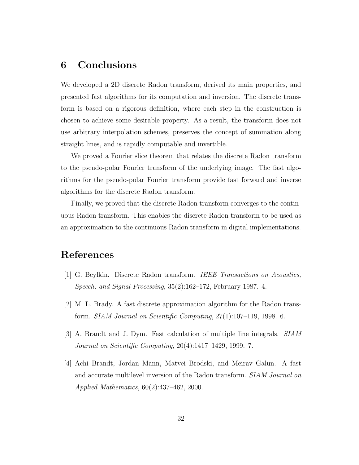# 6 Conclusions

We developed a 2D discrete Radon transform, derived its main properties, and presented fast algorithms for its computation and inversion. The discrete transform is based on a rigorous definition, where each step in the construction is chosen to achieve some desirable property. As a result, the transform does not use arbitrary interpolation schemes, preserves the concept of summation along straight lines, and is rapidly computable and invertible.

We proved a Fourier slice theorem that relates the discrete Radon transform to the pseudo-polar Fourier transform of the underlying image. The fast algorithms for the pseudo-polar Fourier transform provide fast forward and inverse algorithms for the discrete Radon transform.

Finally, we proved that the discrete Radon transform converges to the continuous Radon transform. This enables the discrete Radon transform to be used as an approximation to the continuous Radon transform in digital implementations.

# References

- [1] G. Beylkin. Discrete Radon transform. IEEE Transactions on Acoustics, Speech, and Signal Processing, 35(2):162–172, February 1987. 4.
- [2] M. L. Brady. A fast discrete approximation algorithm for the Radon transform. SIAM Journal on Scientific Computing, 27(1):107–119, 1998. 6.
- [3] A. Brandt and J. Dym. Fast calculation of multiple line integrals. SIAM Journal on Scientific Computing, 20(4):1417–1429, 1999. 7.
- [4] Achi Brandt, Jordan Mann, Matvei Brodski, and Meirav Galun. A fast and accurate multilevel inversion of the Radon transform. SIAM Journal on Applied Mathematics, 60(2):437–462, 2000.